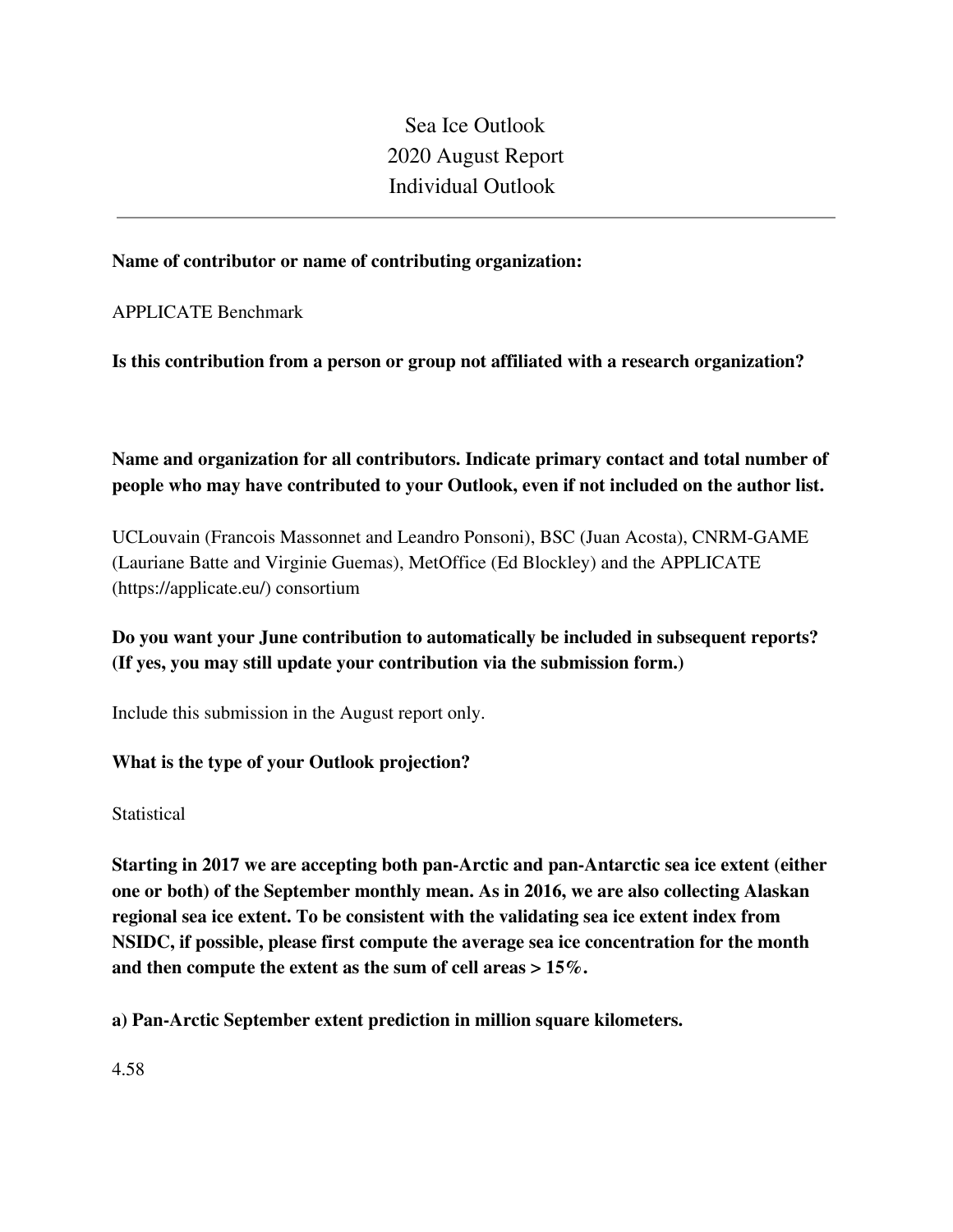Sea Ice Outlook 2020 August Report Individual Outlook

### **Name of contributor or name of contributing organization:**

APPLICATE Benchmark

**Is this contribution from a person or group not affiliated with a research organization?** 

**Name and organization for all contributors. Indicate primary contact and total number of people who may have contributed to your Outlook, even if not included on the author list.**

UCLouvain (Francois Massonnet and Leandro Ponsoni), BSC (Juan Acosta), CNRM-GAME (Lauriane Batte and Virginie Guemas), MetOffice (Ed Blockley) and the APPLICATE (https://applicate.eu/) consortium

**Do you want your June contribution to automatically be included in subsequent reports? (If yes, you may still update your contribution via the submission form.)**

Include this submission in the August report only.

# **What is the type of your Outlook projection?**

**Statistical** 

**Starting in 2017 we are accepting both pan-Arctic and pan-Antarctic sea ice extent (either one or both) of the September monthly mean. As in 2016, we are also collecting Alaskan regional sea ice extent. To be consistent with the validating sea ice extent index from NSIDC, if possible, please first compute the average sea ice concentration for the month and then compute the extent as the sum of cell areas > 15%.**

**a) Pan-Arctic September extent prediction in million square kilometers.**

4.58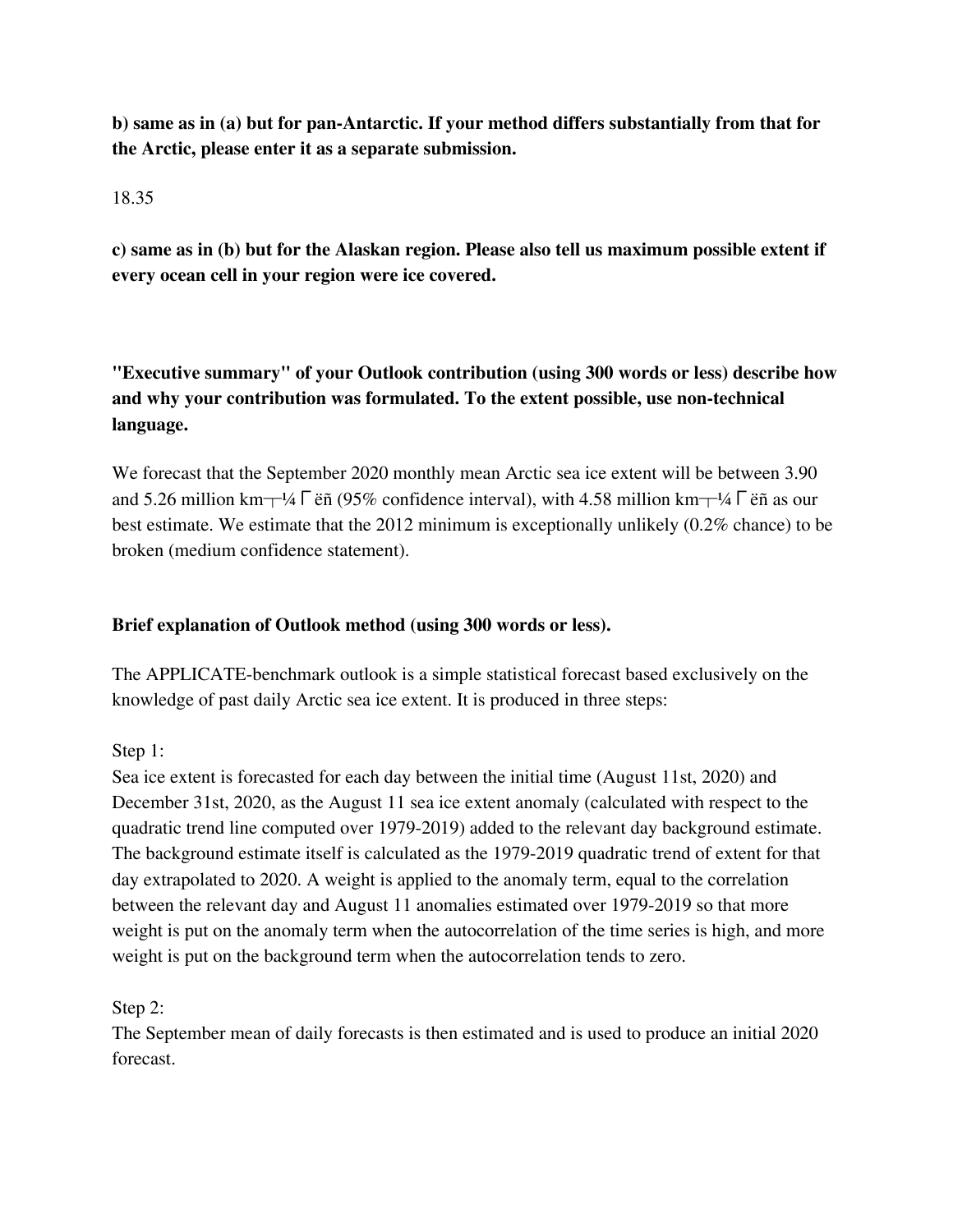**b) same as in (a) but for pan-Antarctic. If your method differs substantially from that for the Arctic, please enter it as a separate submission.**

### 18.35

**c) same as in (b) but for the Alaskan region. Please also tell us maximum possible extent if every ocean cell in your region were ice covered.**

**"Executive summary" of your Outlook contribution (using 300 words or less) describe how and why your contribution was formulated. To the extent possible, use non-technical language.**

We forecast that the September 2020 monthly mean Arctic sea ice extent will be between 3.90 and 5.26 million km $\pm$ ¼Γëñ (95% confidence interval), with 4.58 million km $\pm$ ¼Γëñ as our best estimate. We estimate that the 2012 minimum is exceptionally unlikely (0.2% chance) to be broken (medium confidence statement).

## **Brief explanation of Outlook method (using 300 words or less).**

The APPLICATE-benchmark outlook is a simple statistical forecast based exclusively on the knowledge of past daily Arctic sea ice extent. It is produced in three steps:

Step 1:

Sea ice extent is forecasted for each day between the initial time (August 11st, 2020) and December 31st, 2020, as the August 11 sea ice extent anomaly (calculated with respect to the quadratic trend line computed over 1979-2019) added to the relevant day background estimate. The background estimate itself is calculated as the 1979-2019 quadratic trend of extent for that day extrapolated to 2020. A weight is applied to the anomaly term, equal to the correlation between the relevant day and August 11 anomalies estimated over 1979-2019 so that more weight is put on the anomaly term when the autocorrelation of the time series is high, and more weight is put on the background term when the autocorrelation tends to zero.

# Step 2:

The September mean of daily forecasts is then estimated and is used to produce an initial 2020 forecast.